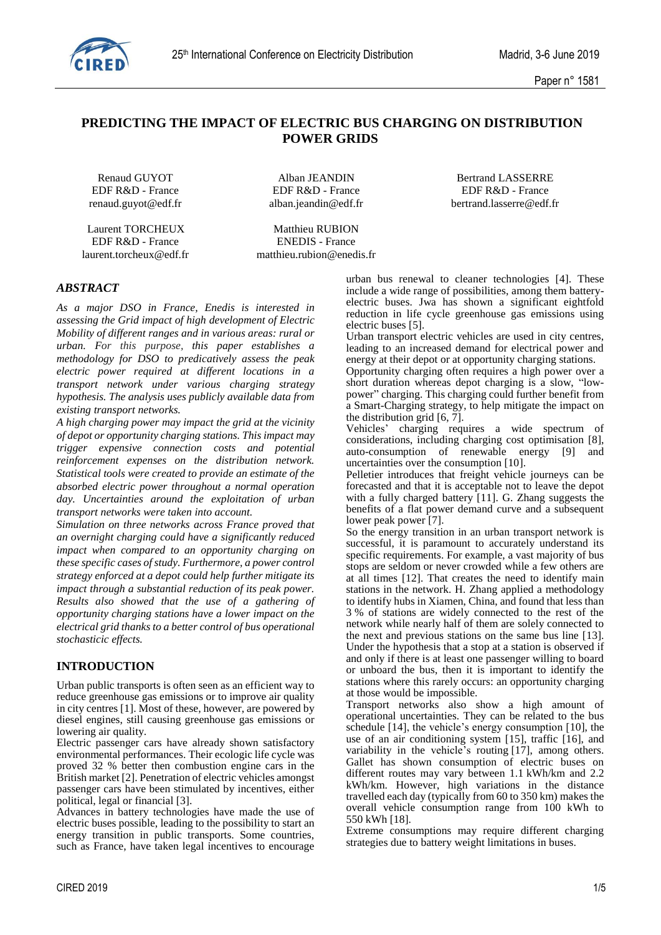

# **PREDICTING THE IMPACT OF ELECTRIC BUS CHARGING ON DISTRIBUTION POWER GRIDS**

Laurent TORCHEUX Matthieu RUBION<br>
EDF R&D - France ENEDIS - France EDF R&D - France

renaud.guyot@edf.fr alban.jeandin@edf.fr bertrand.lasserre@edf.fr

laurent.torcheux@edf.fr matthieu.rubion@enedis.fr

Renaud GUYOT Alban JEANDIN Bertrand LASSERRE EDF R&D - France EDF R&D - France EDF R&D - France

## *ABSTRACT*

*As a major DSO in France, Enedis is interested in assessing the Grid impact of high development of Electric Mobility of different ranges and in various areas: rural or urban. For this purpose, this paper establishes a methodology for DSO to predicatively assess the peak electric power required at different locations in a transport network under various charging strategy hypothesis. The analysis uses publicly available data from existing transport networks.* 

*A high charging power may impact the grid at the vicinity of depot or opportunity charging stations. This impact may trigger expensive connection costs and potential reinforcement expenses on the distribution network. Statistical tools were created to provide an estimate of the absorbed electric power throughout a normal operation day. Uncertainties around the exploitation of urban transport networks were taken into account.* 

*Simulation on three networks across France proved that an overnight charging could have a significantly reduced impact when compared to an opportunity charging on these specific cases of study. Furthermore, a power control strategy enforced at a depot could help further mitigate its impact through a substantial reduction of its peak power. Results also showed that the use of a gathering of opportunity charging stations have a lower impact on the electrical grid thanks to a better control of bus operational stochasticic effects.*

### **INTRODUCTION**

Urban public transports is often seen as an efficient way to reduce greenhouse gas emissions or to improve air quality in city centres [1]. Most of these, however, are powered by diesel engines, still causing greenhouse gas emissions or lowering air quality.

Electric passenger cars have already shown satisfactory environmental performances. Their ecologic life cycle was proved 32 % better then combustion engine cars in the British market [2]. Penetration of electric vehicles amongst passenger cars have been stimulated by incentives, either political, legal or financial [3].

Advances in battery technologies have made the use of electric buses possible, leading to the possibility to start an energy transition in public transports. Some countries, such as France, have taken legal incentives to encourage urban bus renewal to cleaner technologies [4]. These include a wide range of possibilities, among them batteryelectric buses. Jwa has shown a significant eightfold reduction in life cycle greenhouse gas emissions using electric buses [5].

Urban transport electric vehicles are used in city centres, leading to an increased demand for electrical power and energy at their depot or at opportunity charging stations.

Opportunity charging often requires a high power over a short duration whereas depot charging is a slow, "lowpower" charging. This charging could further benefit from a Smart-Charging strategy, to help mitigate the impact on the distribution grid [6, 7].

Vehicles' charging requires a wide spectrum of considerations, including charging cost optimisation [8], auto-consumption of renewable energy [9] and uncertainties over the consumption [10].

Pelletier introduces that freight vehicle journeys can be forecasted and that it is acceptable not to leave the depot with a fully charged battery [11]. G. Zhang suggests the benefits of a flat power demand curve and a subsequent lower peak power [7].

So the energy transition in an urban transport network is successful, it is paramount to accurately understand its specific requirements. For example, a vast majority of bus stops are seldom or never crowded while a few others are at all times [12]. That creates the need to identify main stations in the network. H. Zhang applied a methodology to identify hubs in Xiamen, China, and found that less than 3 % of stations are widely connected to the rest of the network while nearly half of them are solely connected to the next and previous stations on the same bus line [13]. Under the hypothesis that a stop at a station is observed if and only if there is at least one passenger willing to board or unboard the bus, then it is important to identify the stations where this rarely occurs: an opportunity charging at those would be impossible.

Transport networks also show a high amount of operational uncertainties. They can be related to the bus schedule [14], the vehicle's energy consumption [10], the use of an air conditioning system [15], traffic [16], and variability in the vehicle's routing [17], among others. Gallet has shown consumption of electric buses on different routes may vary between 1.1 kWh/km and 2.2 kWh/km. However, high variations in the distance travelled each day (typically from 60 to 350 km) makes the overall vehicle consumption range from 100 kWh to 550 kWh [18].

Extreme consumptions may require different charging strategies due to battery weight limitations in buses.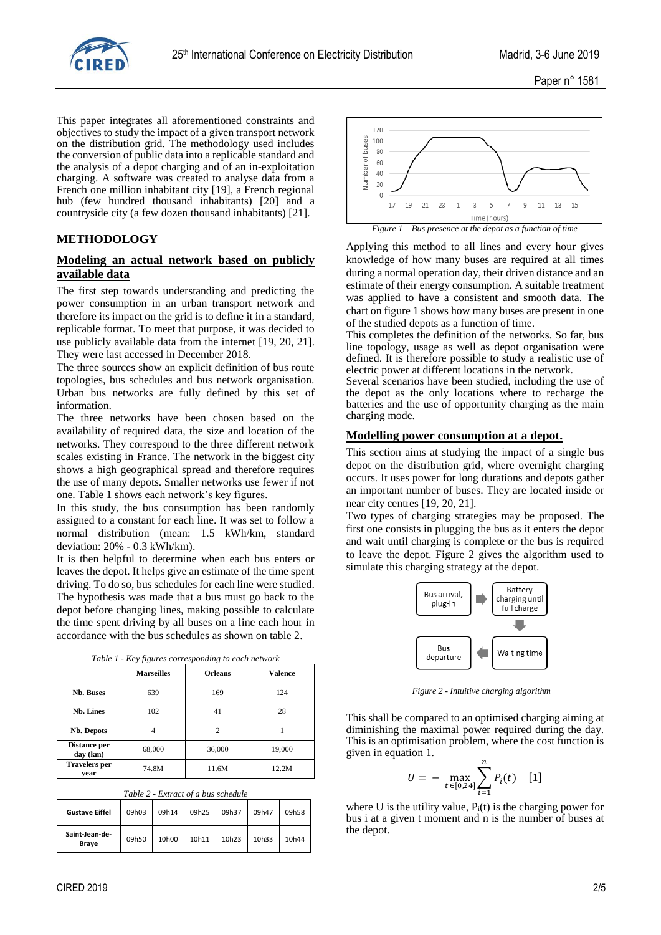

This paper integrates all aforementioned constraints and objectives to study the impact of a given transport network on the distribution grid. The methodology used includes the conversion of public data into a replicable standard and the analysis of a depot charging and of an in-exploitation charging. A software was created to analyse data from a French one million inhabitant city [19], a French regional hub (few hundred thousand inhabitants) [20] and a countryside city (a few dozen thousand inhabitants) [21].

## **METHODOLOGY**

## **Modeling an actual network based on publicly available data**

The first step towards understanding and predicting the power consumption in an urban transport network and therefore its impact on the grid is to define it in a standard, replicable format. To meet that purpose, it was decided to use publicly available data from the internet [19, 20, 21]. They were last accessed in December 2018.

The three sources show an explicit definition of bus route topologies, bus schedules and bus network organisation. Urban bus networks are fully defined by this set of information.

The three networks have been chosen based on the availability of required data, the size and location of the networks. They correspond to the three different network scales existing in France. The network in the biggest city shows a high geographical spread and therefore requires the use of many depots. Smaller networks use fewer if not one. Table 1 shows each network's key figures.

In this study, the bus consumption has been randomly assigned to a constant for each line. It was set to follow a normal distribution (mean: 1.5 kWh/km, standard deviation: 20% - 0.3 kWh/km).

It is then helpful to determine when each bus enters or leaves the depot. It helps give an estimate of the time spent driving. To do so, bus schedules for each line were studied. The hypothesis was made that a bus must go back to the depot before changing lines, making possible to calculate the time spent driving by all buses on a line each hour in accordance with the bus schedules as shown on table 2.

|  |  | Table 1 - Key figures corresponding to each network |  |  |
|--|--|-----------------------------------------------------|--|--|
|  |  |                                                     |  |  |

|                              | <b>Marseilles</b> | <b>Orleans</b> | <b>Valence</b> |
|------------------------------|-------------------|----------------|----------------|
| <b>Nb. Buses</b>             | 639               | 169            | 124            |
| <b>Nb.</b> Lines             | 102               | 41             | 28             |
| Nb. Depots                   | 4                 | $\overline{c}$ |                |
| Distance per<br>day (km)     | 68,000            | 36,000         | 19,000         |
| <b>Travelers</b> per<br>vear | 74.8M             | 11.6M          | 12.2M          |

|  | Table 2 - Extract of a bus schedule |  |  |
|--|-------------------------------------|--|--|
|--|-------------------------------------|--|--|

| <b>Gustave Eiffel</b>          | 09h03 | 09h14 | 09h25 | 09h37 | 09h47 | 09h58             |
|--------------------------------|-------|-------|-------|-------|-------|-------------------|
| Saint-Jean-de-<br><b>Brave</b> | 09h50 | 10h00 | 10h11 | 10h23 | 10h33 | 10 <sub>h44</sub> |



Applying this method to all lines and every hour gives knowledge of how many buses are required at all times during a normal operation day, their driven distance and an estimate of their energy consumption. A suitable treatment was applied to have a consistent and smooth data. The chart on figure 1 shows how many buses are present in one of the studied depots as a function of time.

This completes the definition of the networks. So far, bus line topology, usage as well as depot organisation were defined. It is therefore possible to study a realistic use of electric power at different locations in the network.

Several scenarios have been studied, including the use of the depot as the only locations where to recharge the batteries and the use of opportunity charging as the main charging mode.

#### **Modelling power consumption at a depot.**

This section aims at studying the impact of a single bus depot on the distribution grid, where overnight charging occurs. It uses power for long durations and depots gather an important number of buses. They are located inside or near city centres [19, 20, 21].

Two types of charging strategies may be proposed. The first one consists in plugging the bus as it enters the depot and wait until charging is complete or the bus is required to leave the depot. Figure 2 gives the algorithm used to simulate this charging strategy at the depot.



*Figure 2 - Intuitive charging algorithm*

This shall be compared to an optimised charging aiming at diminishing the maximal power required during the day. This is an optimisation problem, where the cost function is given in equation 1.

$$
U = - \max_{t \in [0,24]} \sum_{i=1}^{n} P_i(t) \quad [1]
$$

where U is the utility value,  $P_i(t)$  is the charging power for bus i at a given t moment and n is the number of buses at the depot.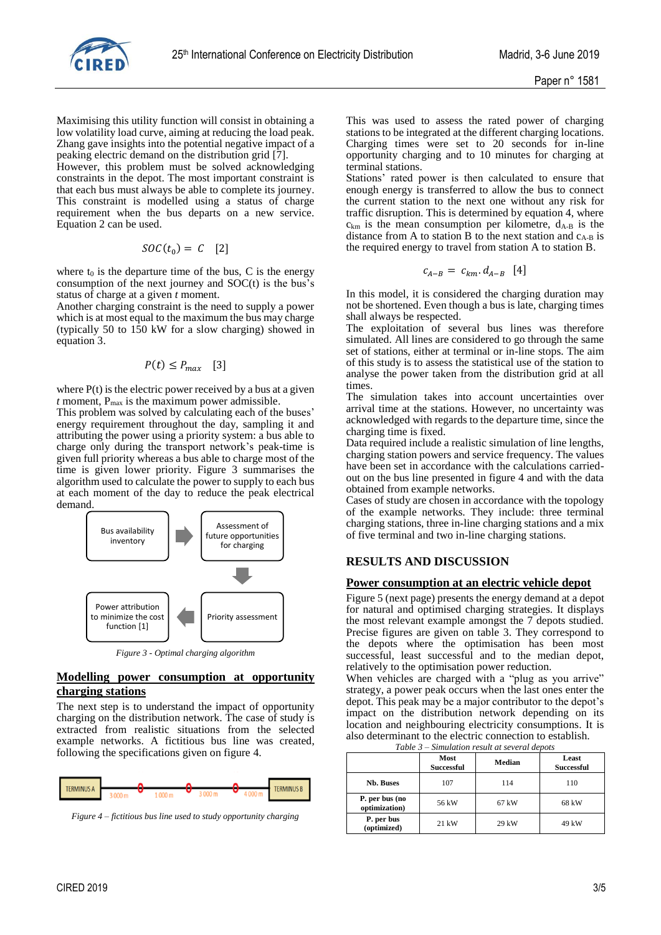

Maximising this utility function will consist in obtaining a low volatility load curve, aiming at reducing the load peak. Zhang gave insights into the potential negative impact of a peaking electric demand on the distribution grid [7].

However, this problem must be solved acknowledging constraints in the depot. The most important constraint is that each bus must always be able to complete its journey. This constraint is modelled using a status of charge requirement when the bus departs on a new service. Equation 2 can be used.

$$
SOC(t_0) = C \quad [2]
$$

where  $t_0$  is the departure time of the bus, C is the energy consumption of the next journey and SOC(t) is the bus's status of charge at a given *t* moment.

Another charging constraint is the need to supply a power which is at most equal to the maximum the bus may charge (typically 50 to 150 kW for a slow charging) showed in equation 3.

$$
P(t) \le P_{max} \quad [3]
$$

where  $P(t)$  is the electric power received by a bus at a given  $t$  moment,  $P_{\text{max}}$  is the maximum power admissible.

This problem was solved by calculating each of the buses' energy requirement throughout the day, sampling it and attributing the power using a priority system: a bus able to charge only during the transport network's peak-time is given full priority whereas a bus able to charge most of the time is given lower priority. Figure 3 summarises the algorithm used to calculate the power to supply to each bus at each moment of the day to reduce the peak electrical demand.



*Figure 3 - Optimal charging algorithm*

### **Modelling power consumption at opportunity charging stations**

The next step is to understand the impact of opportunity charging on the distribution network. The case of study is extracted from realistic situations from the selected example networks. A fictitious bus line was created, following the specifications given on figure 4.



*Figure 4 – fictitious bus line used to study opportunity charging*

This was used to assess the rated power of charging stations to be integrated at the different charging locations. Charging times were set to 20 seconds for in-line opportunity charging and to 10 minutes for charging at terminal stations.

Stations' rated power is then calculated to ensure that enough energy is transferred to allow the bus to connect the current station to the next one without any risk for traffic disruption. This is determined by equation 4, where  $c_{km}$  is the mean consumption per kilometre,  $d_{A-B}$  is the distance from A to station B to the next station and  $c_{A-B}$  is the required energy to travel from station A to station B.

$$
c_{A-B} = c_{km}. d_{A-B} [4]
$$

In this model, it is considered the charging duration may not be shortened. Even though a bus is late, charging times shall always be respected.

The exploitation of several bus lines was therefore simulated. All lines are considered to go through the same set of stations, either at terminal or in-line stops. The aim of this study is to assess the statistical use of the station to analyse the power taken from the distribution grid at all times.

The simulation takes into account uncertainties over arrival time at the stations. However, no uncertainty was acknowledged with regards to the departure time, since the charging time is fixed.

Data required include a realistic simulation of line lengths, charging station powers and service frequency. The values have been set in accordance with the calculations carriedout on the bus line presented in figure 4 and with the data obtained from example networks.

Cases of study are chosen in accordance with the topology of the example networks. They include: three terminal charging stations, three in-line charging stations and a mix of five terminal and two in-line charging stations.

## **RESULTS AND DISCUSSION**

### **Power consumption at an electric vehicle depot**

Figure 5 (next page) presents the energy demand at a depot for natural and optimised charging strategies. It displays the most relevant example amongst the 7 depots studied. Precise figures are given on table 3. They correspond to the depots where the optimisation has been most successful, least successful and to the median depot, relatively to the optimisation power reduction.

When vehicles are charged with a "plug as you arrive" strategy, a power peak occurs when the last ones enter the depot. This peak may be a major contributor to the depot's impact on the distribution network depending on its location and neighbouring electricity consumptions. It is also determinant to the electric connection to establish.

| Table $3$ – Simulation result at several depots |                           |        |                            |  |  |
|-------------------------------------------------|---------------------------|--------|----------------------------|--|--|
|                                                 | Most<br><b>Successful</b> | Median | Least<br><b>Successful</b> |  |  |
| <b>Nb. Buses</b>                                | 107                       | 114    | 110                        |  |  |
| P. per bus (no<br>optimization)                 | 56 kW                     | 67 kW  | 68 kW                      |  |  |
| P. per bus<br>(optimized)                       | 21 kW                     | 29 kW  | 49 kW                      |  |  |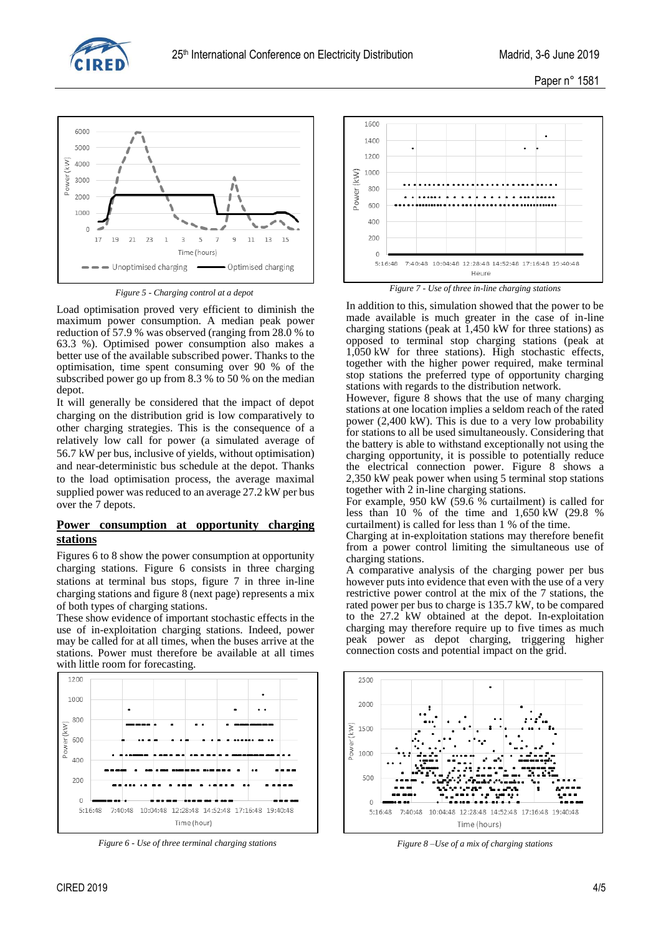



*Figure 5 - Charging control at a depot*

Load optimisation proved very efficient to diminish the maximum power consumption. A median peak power reduction of 57.9 % was observed (ranging from 28.0 % to 63.3 %). Optimised power consumption also makes a better use of the available subscribed power. Thanks to the optimisation, time spent consuming over 90 % of the subscribed power go up from 8.3 % to 50 % on the median depot.

It will generally be considered that the impact of depot charging on the distribution grid is low comparatively to other charging strategies. This is the consequence of a relatively low call for power (a simulated average of 56.7 kW per bus, inclusive of yields, without optimisation) and near-deterministic bus schedule at the depot. Thanks to the load optimisation process, the average maximal supplied power was reduced to an average 27.2 kW per bus over the 7 depots.

## **Power consumption at opportunity charging stations**

Figures 6 to 8 show the power consumption at opportunity charging stations. Figure 6 consists in three charging stations at terminal bus stops, figure 7 in three in-line charging stations and figure 8 (next page) represents a mix of both types of charging stations.

These show evidence of important stochastic effects in the use of in-exploitation charging stations. Indeed, power may be called for at all times, when the buses arrive at the stations. Power must therefore be available at all times with little room for forecasting.



*Figure 6 - Use of three terminal charging stations Figure 8 –Use of a mix of charging stations*



*Figure 7 - Use of three in-line charging stations*

In addition to this, simulation showed that the power to be made available is much greater in the case of in-line charging stations (peak at 1,450 kW for three stations) as opposed to terminal stop charging stations (peak at 1,050 kW for three stations). High stochastic effects, together with the higher power required, make terminal stop stations the preferred type of opportunity charging stations with regards to the distribution network.

However, figure 8 shows that the use of many charging stations at one location implies a seldom reach of the rated power (2,400 kW). This is due to a very low probability for stations to all be used simultaneously. Considering that the battery is able to withstand exceptionally not using the charging opportunity, it is possible to potentially reduce the electrical connection power. Figure 8 shows a 2,350 kW peak power when using 5 terminal stop stations together with 2 in-line charging stations.

For example, 950 kW (59.6 % curtailment) is called for less than 10 % of the time and 1,650 kW (29.8 % curtailment) is called for less than 1 % of the time.

Charging at in-exploitation stations may therefore benefit from a power control limiting the simultaneous use of charging stations.

A comparative analysis of the charging power per bus however puts into evidence that even with the use of a very restrictive power control at the mix of the 7 stations, the rated power per bus to charge is 135.7 kW, to be compared to the 27.2 kW obtained at the depot. In-exploitation charging may therefore require up to five times as much peak power as depot charging, triggering higher connection costs and potential impact on the grid.